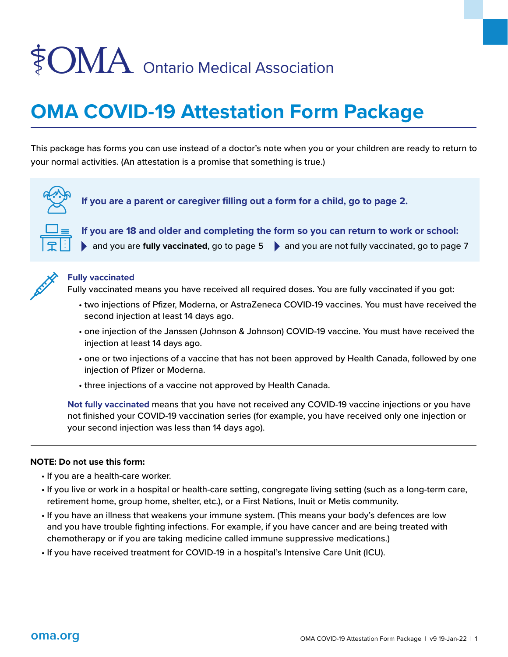# $\textcolor{red}{\} \textcolor{red}{\otimes} \textcolor{blue}{OMA}$  Ontario Medical Association

### **OMA COVID-19 Attestation Form Package**

This package has forms you can use instead of a doctor's note when you or your children are ready to return to your normal activities. (An attestation is a promise that something is true.)



**If you are a parent or caregiver filling out a form for a child, go to page 2.**



**If you are 18 and older and completing the form so you can return to work or school:** 

and you are **fully vaccinated**, go to page 5 **a**nd you are not fully vaccinated, go to page 7



#### **Fully vaccinated**

Fully vaccinated means you have received all required doses. You are fully vaccinated if you got:

- two injections of Pfizer, Moderna, or AstraZeneca COVID-19 vaccines. You must have received the second injection at least 14 days ago.
- one injection of the Janssen (Johnson & Johnson) COVID-19 vaccine. You must have received the injection at least 14 days ago.
- one or two injections of a vaccine that has not been approved by Health Canada, followed by one injection of Pfizer or Moderna.
- three injections of a vaccine not approved by Health Canada.

**Not fully vaccinated** means that you have not received any COVID-19 vaccine injections or you have not finished your COVID-19 vaccination series (for example, you have received only one injection or your second injection was less than 14 days ago).

#### **NOTE: Do not use this form:**

- If you are a health-care worker.
- If you live or work in a hospital or health-care setting, congregate living setting (such as a long-term care, retirement home, group home, shelter, etc.), or a First Nations, Inuit or Metis community.
- If you have an illness that weakens your immune system. (This means your body's defences are low and you have trouble fighting infections. For example, if you have cancer and are being treated with chemotherapy or if you are taking medicine called immune suppressive medications.)
- If you have received treatment for COVID-19 in a hospital's Intensive Care Unit (ICU).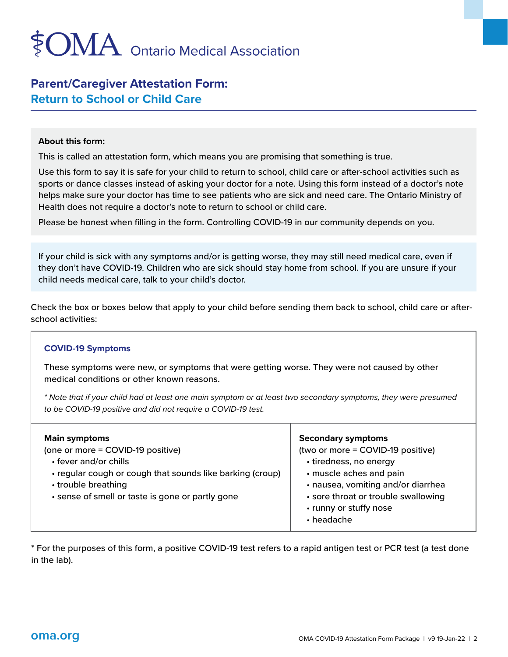## $\mathop{\rm OMA}\nolimits$  Ontario Medical Association

#### **Parent/Caregiver Attestation Form: Return to School or Child Care**

#### **About this form:**

This is called an attestation form, which means you are promising that something is true.

Use this form to say it is safe for your child to return to school, child care or after-school activities such as sports or dance classes instead of asking your doctor for a note. Using this form instead of a doctor's note helps make sure your doctor has time to see patients who are sick and need care. The Ontario Ministry of Health does not require a doctor's note to return to school or child care.

Please be honest when filling in the form. Controlling COVID-19 in our community depends on you.

If your child is sick with any symptoms and/or is getting worse, they may still need medical care, even if they don't have COVID-19. Children who are sick should stay home from school. If you are unsure if your child needs medical care, talk to your child's doctor.

Check the box or boxes below that apply to your child before sending them back to school, child care or afterschool activities:

#### **COVID-19 Symptoms**

These symptoms were new, or symptoms that were getting worse. They were not caused by other medical conditions or other known reasons.

*\* Note that if your child had at least one main symptom or at least two secondary symptoms, they were presumed to be COVID-19 positive and did not require a COVID-19 test.* 

| <b>Main symptoms</b><br>(one or more = COVID-19 positive)<br>• fever and/or chills<br>• regular cough or cough that sounds like barking (croup)<br>• trouble breathing<br>• sense of smell or taste is gone or partly gone | <b>Secondary symptoms</b><br>(two or more = COVID-19 positive)<br>• tiredness, no energy<br>· muscle aches and pain<br>· nausea, vomiting and/or diarrhea<br>• sore throat or trouble swallowing<br>• runny or stuffy nose<br>$\cdot$ headache |
|----------------------------------------------------------------------------------------------------------------------------------------------------------------------------------------------------------------------------|------------------------------------------------------------------------------------------------------------------------------------------------------------------------------------------------------------------------------------------------|
|                                                                                                                                                                                                                            |                                                                                                                                                                                                                                                |

\* For the purposes of this form, a positive COVID-19 test refers to a rapid antigen test or PCR test (a test done in the lab).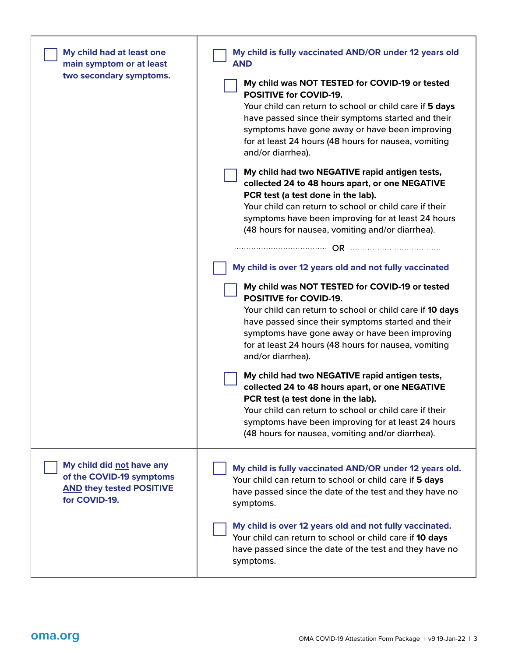| My child had at least one<br>main symptom or at least<br>two secondary symptoms.                          | My child is fully vaccinated AND/OR under 12 years old<br><b>AND</b><br>My child was NOT TESTED for COVID-19 or tested<br><b>POSITIVE for COVID-19.</b><br>Your child can return to school or child care if 5 days<br>have passed since their symptoms started and their<br>symptoms have gone away or have been improving<br>for at least 24 hours (48 hours for nausea, vomiting<br>and/or diarrhea).<br>My child had two NEGATIVE rapid antigen tests, |
|-----------------------------------------------------------------------------------------------------------|-----------------------------------------------------------------------------------------------------------------------------------------------------------------------------------------------------------------------------------------------------------------------------------------------------------------------------------------------------------------------------------------------------------------------------------------------------------|
|                                                                                                           | collected 24 to 48 hours apart, or one NEGATIVE<br>PCR test (a test done in the lab).<br>Your child can return to school or child care if their<br>symptoms have been improving for at least 24 hours<br>(48 hours for nausea, vomiting and/or diarrhea).                                                                                                                                                                                                 |
|                                                                                                           | My child is over 12 years old and not fully vaccinated                                                                                                                                                                                                                                                                                                                                                                                                    |
|                                                                                                           | My child was NOT TESTED for COVID-19 or tested<br><b>POSITIVE for COVID-19.</b><br>Your child can return to school or child care if 10 days<br>have passed since their symptoms started and their<br>symptoms have gone away or have been improving<br>for at least 24 hours (48 hours for nausea, vomiting<br>and/or diarrhea).                                                                                                                          |
|                                                                                                           | My child had two NEGATIVE rapid antigen tests,<br>collected 24 to 48 hours apart, or one NEGATIVE<br>PCR test (a test done in the lab).<br>Your child can return to school or child care if their<br>symptoms have been improving for at least 24 hours<br>(48 hours for nausea, vomiting and/or diarrhea).                                                                                                                                               |
| My child did not have any<br>of the COVID-19 symptoms<br><b>AND they tested POSITIVE</b><br>for COVID-19. | My child is fully vaccinated AND/OR under 12 years old.<br>Your child can return to school or child care if 5 days<br>have passed since the date of the test and they have no<br>symptoms.                                                                                                                                                                                                                                                                |
|                                                                                                           | My child is over 12 years old and not fully vaccinated.<br>Your child can return to school or child care if 10 days<br>have passed since the date of the test and they have no<br>symptoms.                                                                                                                                                                                                                                                               |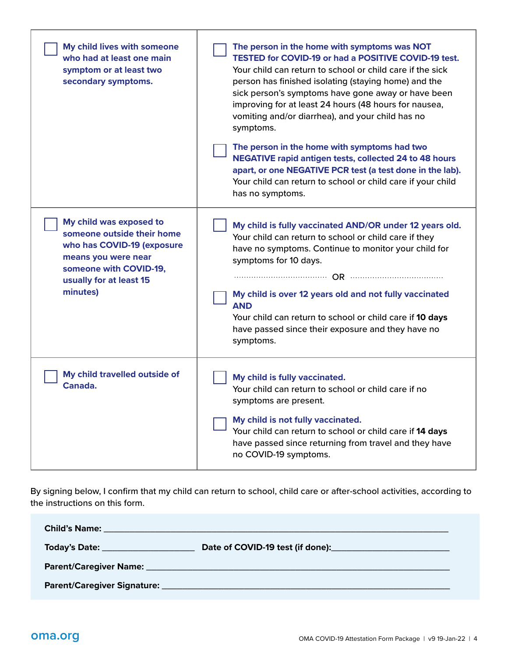| My child lives with someone<br>who had at least one main<br>symptom or at least two<br>secondary symptoms.                                                                  | The person in the home with symptoms was NOT<br><b>TESTED for COVID-19 or had a POSITIVE COVID-19 test.</b><br>Your child can return to school or child care if the sick<br>person has finished isolating (staying home) and the<br>sick person's symptoms have gone away or have been<br>improving for at least 24 hours (48 hours for nausea,<br>vomiting and/or diarrhea), and your child has no<br>symptoms. |
|-----------------------------------------------------------------------------------------------------------------------------------------------------------------------------|------------------------------------------------------------------------------------------------------------------------------------------------------------------------------------------------------------------------------------------------------------------------------------------------------------------------------------------------------------------------------------------------------------------|
|                                                                                                                                                                             | The person in the home with symptoms had two<br><b>NEGATIVE rapid antigen tests, collected 24 to 48 hours</b><br>apart, or one NEGATIVE PCR test (a test done in the lab).<br>Your child can return to school or child care if your child<br>has no symptoms.                                                                                                                                                    |
| My child was exposed to<br>someone outside their home<br>who has COVID-19 (exposure<br>means you were near<br>someone with COVID-19,<br>usually for at least 15<br>minutes) | My child is fully vaccinated AND/OR under 12 years old.<br>Your child can return to school or child care if they<br>have no symptoms. Continue to monitor your child for<br>symptoms for 10 days.<br>My child is over 12 years old and not fully vaccinated<br><b>AND</b><br>Your child can return to school or child care if 10 days<br>have passed since their exposure and they have no<br>symptoms.          |
| My child travelled outside of<br>Canada.                                                                                                                                    | My child is fully vaccinated.<br>Your child can return to school or child care if no<br>symptoms are present.<br>My child is not fully vaccinated.<br>Your child can return to school or child care if 14 days<br>have passed since returning from travel and they have<br>no COVID-19 symptoms.                                                                                                                 |

By signing below, I confirm that my child can return to school, child care or after-school activities, according to the instructions on this form.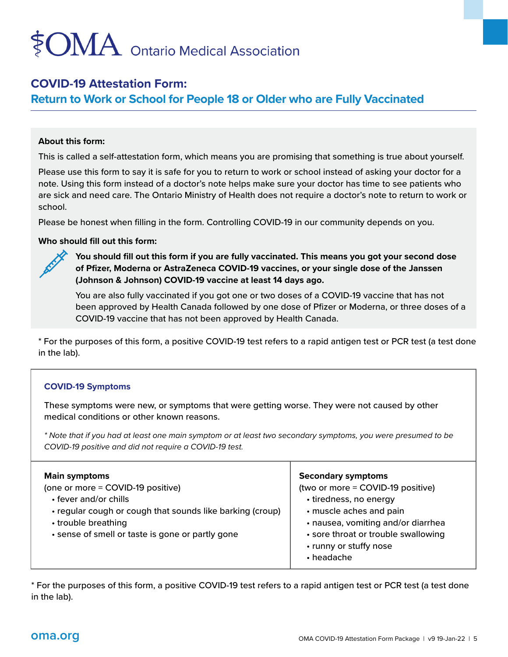## $\mathop{\rm OMA}\nolimits$  Ontario Medical Association

#### **COVID-19 Attestation Form:**

**Return to Work or School for People 18 or Older who are Fully Vaccinated** 

#### **About this form:**

This is called a self-attestation form, which means you are promising that something is true about yourself.

Please use this form to say it is safe for you to return to work or school instead of asking your doctor for a note. Using this form instead of a doctor's note helps make sure your doctor has time to see patients who are sick and need care. The Ontario Ministry of Health does not require a doctor's note to return to work or school.

Please be honest when filling in the form. Controlling COVID-19 in our community depends on you.

#### **Who should fill out this form:**

**You should fill out this form if you are fully vaccinated. This means you got your second dose of Pfizer, Moderna or AstraZeneca COVID-19 vaccines, or your single dose of the Janssen (Johnson & Johnson) COVID-19 vaccine at least 14 days ago.**

You are also fully vaccinated if you got one or two doses of a COVID-19 vaccine that has not been approved by Health Canada followed by one dose of Pfizer or Moderna, or three doses of a COVID-19 vaccine that has not been approved by Health Canada.

\* For the purposes of this form, a positive COVID-19 test refers to a rapid antigen test or PCR test (a test done in the lab).

#### **COVID-19 Symptoms**

These symptoms were new, or symptoms that were getting worse. They were not caused by other medical conditions or other known reasons.

*\* Note that if you had at least one main symptom or at least two secondary symptoms, you were presumed to be COVID-19 positive and did not require a COVID-19 test.* 

| <b>Main symptoms</b>                                      | <b>Secondary symptoms</b>                                                   |
|-----------------------------------------------------------|-----------------------------------------------------------------------------|
| (one or more = COVID-19 positive)                         | (two or more = COVID-19 positive)                                           |
| • fever and/or chills                                     | • tiredness, no energy                                                      |
| • regular cough or cough that sounds like barking (croup) | · muscle aches and pain                                                     |
| • trouble breathing                                       | · nausea, vomiting and/or diarrhea                                          |
| • sense of smell or taste is gone or partly gone          | • sore throat or trouble swallowing<br>• runny or stuffy nose<br>• headache |

\* For the purposes of this form, a positive COVID-19 test refers to a rapid antigen test or PCR test (a test done in the lab).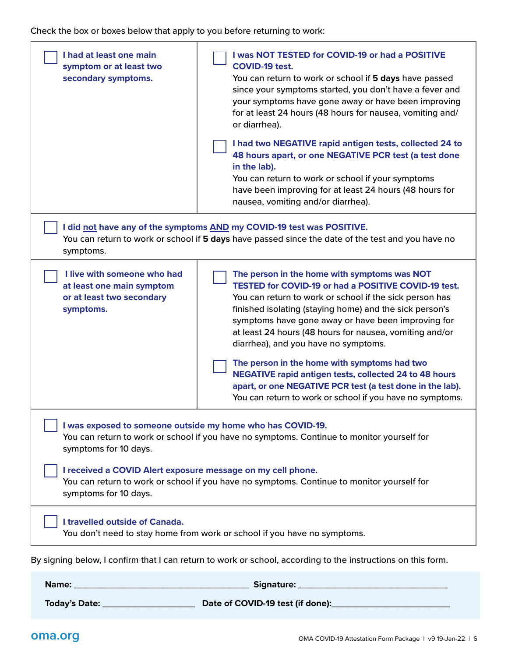Check the box or boxes below that apply to you before returning to work:

| I had at least one main<br>symptom or at least two<br>secondary symptoms.                                                                                                               | I was NOT TESTED for COVID-19 or had a POSITIVE<br><b>COVID-19 test.</b><br>You can return to work or school if 5 days have passed<br>since your symptoms started, you don't have a fever and<br>your symptoms have gone away or have been improving<br>for at least 24 hours (48 hours for nausea, vomiting and/<br>or diarrhea).<br>I had two NEGATIVE rapid antigen tests, collected 24 to<br>48 hours apart, or one NEGATIVE PCR test (a test done<br>in the lab).<br>You can return to work or school if your symptoms<br>have been improving for at least 24 hours (48 hours for<br>nausea, vomiting and/or diarrhea).          |
|-----------------------------------------------------------------------------------------------------------------------------------------------------------------------------------------|---------------------------------------------------------------------------------------------------------------------------------------------------------------------------------------------------------------------------------------------------------------------------------------------------------------------------------------------------------------------------------------------------------------------------------------------------------------------------------------------------------------------------------------------------------------------------------------------------------------------------------------|
| I did not have any of the symptoms AND my COVID-19 test was POSITIVE.<br>You can return to work or school if 5 days have passed since the date of the test and you have no<br>symptoms. |                                                                                                                                                                                                                                                                                                                                                                                                                                                                                                                                                                                                                                       |
| I live with someone who had<br>at least one main symptom<br>or at least two secondary<br>symptoms.                                                                                      | The person in the home with symptoms was NOT<br><b>TESTED for COVID-19 or had a POSITIVE COVID-19 test.</b><br>You can return to work or school if the sick person has<br>finished isolating (staying home) and the sick person's<br>symptoms have gone away or have been improving for<br>at least 24 hours (48 hours for nausea, vomiting and/or<br>diarrhea), and you have no symptoms.<br>The person in the home with symptoms had two<br><b>NEGATIVE rapid antigen tests, collected 24 to 48 hours</b><br>apart, or one NEGATIVE PCR test (a test done in the lab).<br>You can return to work or school if you have no symptoms. |
| I was exposed to someone outside my home who has COVID-19.<br>You can return to work or school if you have no symptoms. Continue to monitor yourself for<br>symptoms for 10 days.       |                                                                                                                                                                                                                                                                                                                                                                                                                                                                                                                                                                                                                                       |
| I received a COVID Alert exposure message on my cell phone.<br>You can return to work or school if you have no symptoms. Continue to monitor yourself for<br>symptoms for 10 days.      |                                                                                                                                                                                                                                                                                                                                                                                                                                                                                                                                                                                                                                       |
| I travelled outside of Canada.<br>You don't need to stay home from work or school if you have no symptoms.                                                                              |                                                                                                                                                                                                                                                                                                                                                                                                                                                                                                                                                                                                                                       |
| By signing below, I confirm that I can return to work or school, according to the instructions on this form.                                                                            |                                                                                                                                                                                                                                                                                                                                                                                                                                                                                                                                                                                                                                       |
| Name:                                                                                                                                                                                   | Signature: __                                                                                                                                                                                                                                                                                                                                                                                                                                                                                                                                                                                                                         |

**Today's Date:** \_\_\_\_\_\_\_\_\_\_\_\_\_\_\_\_\_\_ **Date of COVID-19 test (if done):**\_\_\_\_\_\_\_\_\_\_\_\_\_\_\_\_\_\_\_\_\_\_\_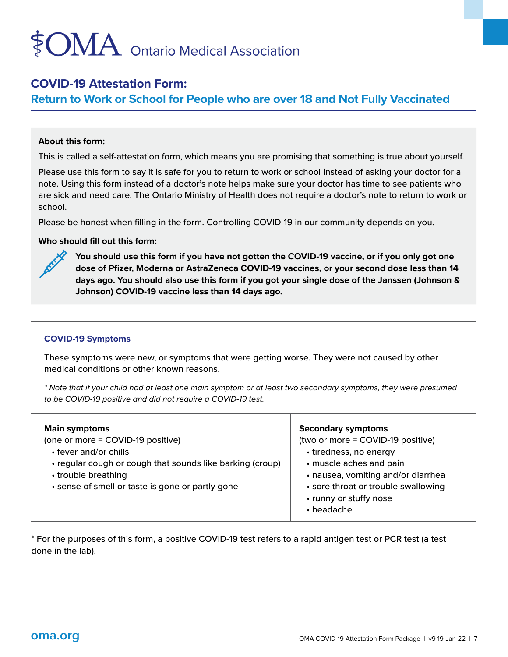### $\mathop{\rm OMA}\nolimits$  Ontario Medical Association

#### **COVID-19 Attestation Form:**

**Return to Work or School for People who are over 18 and Not Fully Vaccinated** 

#### **About this form:**

This is called a self-attestation form, which means you are promising that something is true about yourself.

Please use this form to say it is safe for you to return to work or school instead of asking your doctor for a note. Using this form instead of a doctor's note helps make sure your doctor has time to see patients who are sick and need care. The Ontario Ministry of Health does not require a doctor's note to return to work or school.

Please be honest when filling in the form. Controlling COVID-19 in our community depends on you.

#### **Who should fill out this form:**



**You should use this form if you have not gotten the COVID-19 vaccine, or if you only got one dose of Pfizer, Moderna or AstraZeneca COVID-19 vaccines, or your second dose less than 14 days ago. You should also use this form if you got your single dose of the Janssen (Johnson & Johnson) COVID-19 vaccine less than 14 days ago.** 

#### **COVID-19 Symptoms**

These symptoms were new, or symptoms that were getting worse. They were not caused by other medical conditions or other known reasons.

*\* Note that if your child had at least one main symptom or at least two secondary symptoms, they were presumed to be COVID-19 positive and did not require a COVID-19 test.* 

| <b>Main symptoms</b><br>(one or more = COVID-19 positive)<br>• fever and/or chills<br>• regular cough or cough that sounds like barking (croup)<br>• trouble breathing<br>· sense of smell or taste is gone or partly gone | <b>Secondary symptoms</b><br>(two or more = COVID-19 positive)<br>• tiredness, no energy<br>• muscle aches and pain<br>• nausea, vomiting and/or diarrhea<br>• sore throat or trouble swallowing<br>• runny or stuffy nose<br>$\cdot$ headache |
|----------------------------------------------------------------------------------------------------------------------------------------------------------------------------------------------------------------------------|------------------------------------------------------------------------------------------------------------------------------------------------------------------------------------------------------------------------------------------------|
|----------------------------------------------------------------------------------------------------------------------------------------------------------------------------------------------------------------------------|------------------------------------------------------------------------------------------------------------------------------------------------------------------------------------------------------------------------------------------------|

\* For the purposes of this form, a positive COVID-19 test refers to a rapid antigen test or PCR test (a test done in the lab).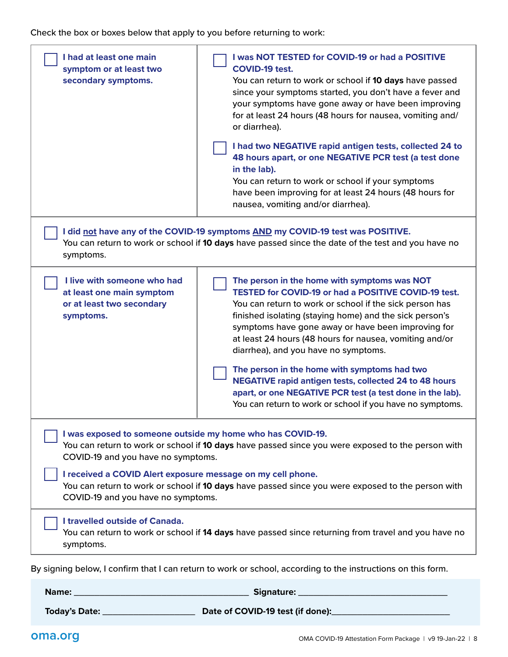Check the box or boxes below that apply to you before returning to work:

| I had at least one main<br>symptom or at least two<br>secondary symptoms.                                                                                                                                                                                                                                                                                                                                       | I was NOT TESTED for COVID-19 or had a POSITIVE<br><b>COVID-19 test.</b><br>You can return to work or school if 10 days have passed<br>since your symptoms started, you don't have a fever and<br>your symptoms have gone away or have been improving<br>for at least 24 hours (48 hours for nausea, vomiting and/<br>or diarrhea).<br>I had two NEGATIVE rapid antigen tests, collected 24 to<br>48 hours apart, or one NEGATIVE PCR test (a test done<br>in the lab).<br>You can return to work or school if your symptoms<br>have been improving for at least 24 hours (48 hours for<br>nausea, vomiting and/or diarrhea).         |
|-----------------------------------------------------------------------------------------------------------------------------------------------------------------------------------------------------------------------------------------------------------------------------------------------------------------------------------------------------------------------------------------------------------------|---------------------------------------------------------------------------------------------------------------------------------------------------------------------------------------------------------------------------------------------------------------------------------------------------------------------------------------------------------------------------------------------------------------------------------------------------------------------------------------------------------------------------------------------------------------------------------------------------------------------------------------|
| I did not have any of the COVID-19 symptoms AND my COVID-19 test was POSITIVE.<br>You can return to work or school if 10 days have passed since the date of the test and you have no<br>symptoms.                                                                                                                                                                                                               |                                                                                                                                                                                                                                                                                                                                                                                                                                                                                                                                                                                                                                       |
| I live with someone who had<br>at least one main symptom<br>or at least two secondary<br>symptoms.                                                                                                                                                                                                                                                                                                              | The person in the home with symptoms was NOT<br><b>TESTED for COVID-19 or had a POSITIVE COVID-19 test.</b><br>You can return to work or school if the sick person has<br>finished isolating (staying home) and the sick person's<br>symptoms have gone away or have been improving for<br>at least 24 hours (48 hours for nausea, vomiting and/or<br>diarrhea), and you have no symptoms.<br>The person in the home with symptoms had two<br><b>NEGATIVE rapid antigen tests, collected 24 to 48 hours</b><br>apart, or one NEGATIVE PCR test (a test done in the lab).<br>You can return to work or school if you have no symptoms. |
| I was exposed to someone outside my home who has COVID-19.<br>You can return to work or school if 10 days have passed since you were exposed to the person with<br>COVID-19 and you have no symptoms.<br>I received a COVID Alert exposure message on my cell phone.<br>You can return to work or school if 10 days have passed since you were exposed to the person with<br>COVID-19 and you have no symptoms. |                                                                                                                                                                                                                                                                                                                                                                                                                                                                                                                                                                                                                                       |
| I travelled outside of Canada.<br>You can return to work or school if 14 days have passed since returning from travel and you have no<br>symptoms.                                                                                                                                                                                                                                                              |                                                                                                                                                                                                                                                                                                                                                                                                                                                                                                                                                                                                                                       |
| By signing below, I confirm that I can return to work or school, according to the instructions on this form.                                                                                                                                                                                                                                                                                                    |                                                                                                                                                                                                                                                                                                                                                                                                                                                                                                                                                                                                                                       |
| Name:                                                                                                                                                                                                                                                                                                                                                                                                           | Signature:                                                                                                                                                                                                                                                                                                                                                                                                                                                                                                                                                                                                                            |

**Today's Date:** \_\_\_\_\_\_\_\_\_\_\_\_\_\_\_\_\_\_ **Date of COVID-19 test (if done):**\_\_\_\_\_\_\_\_\_\_\_\_\_\_\_\_\_\_\_\_\_\_\_